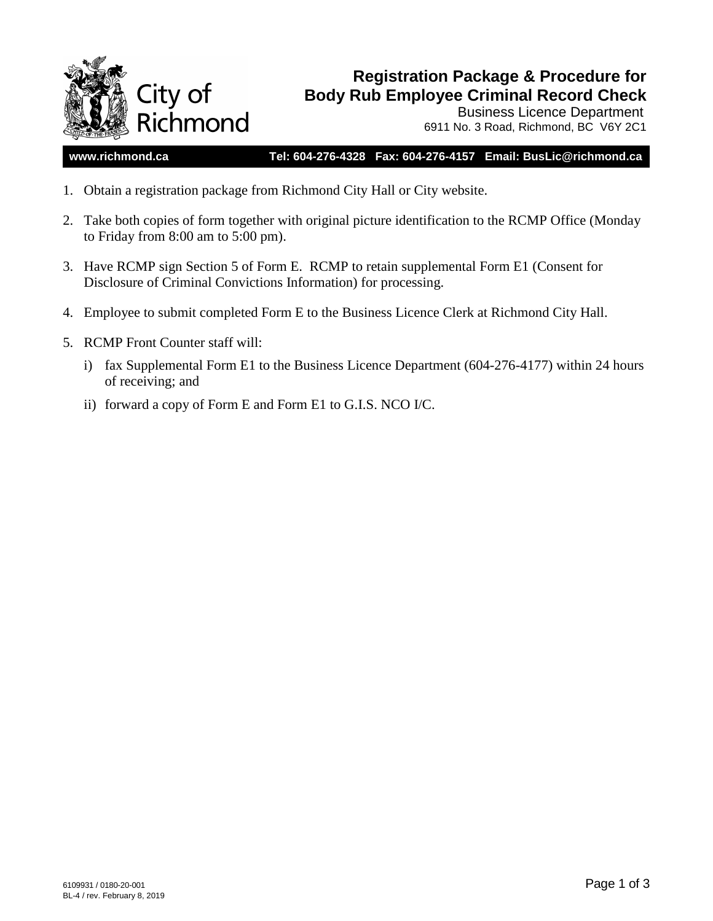

# **Registration Package & Procedure for Body Rub Employee Criminal Record Check**

Business Licence Department 6911 No. 3 Road, Richmond, BC V6Y 2C1

### **www.richmond.ca Tel: 604-276-4328 Fax: 604-276-4157 Email: BusLic@richmond.ca**

- 1. Obtain a registration package from Richmond City Hall or City website.
- 2. Take both copies of form together with original picture identification to the RCMP Office (Monday to Friday from 8:00 am to 5:00 pm).
- 3. Have RCMP sign Section 5 of Form E. RCMP to retain supplemental Form E1 (Consent for Disclosure of Criminal Convictions Information) for processing.
- 4. Employee to submit completed Form E to the Business Licence Clerk at Richmond City Hall.
- 5. RCMP Front Counter staff will:
	- i) fax Supplemental Form E1 to the Business Licence Department (604-276-4177) within 24 hours of receiving; and
	- ii) forward a copy of Form E and Form E1 to G.I.S. NCO I/C.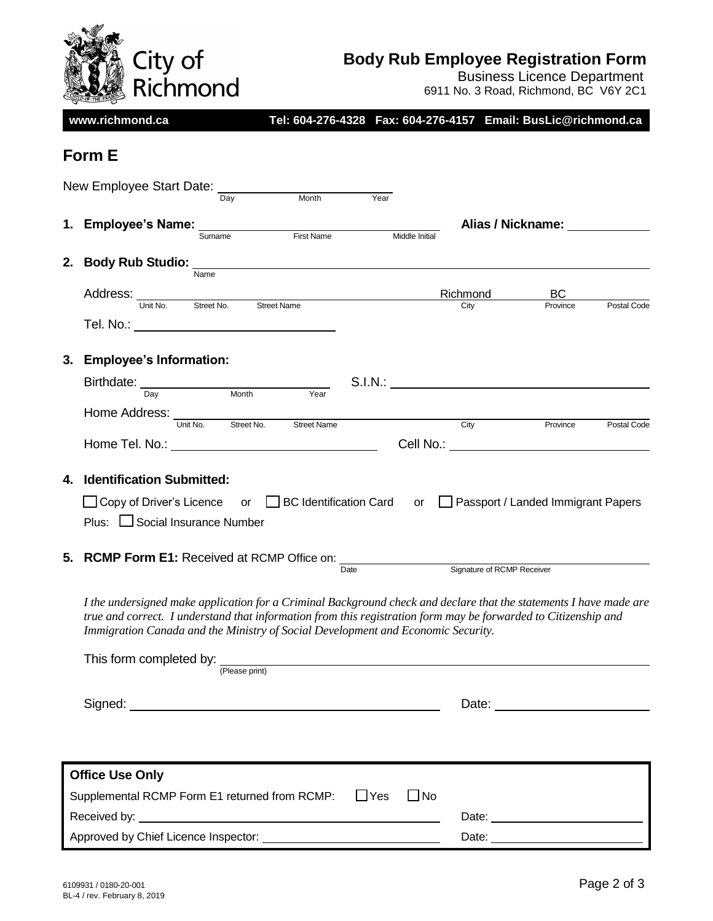

# **Body Rub Employee Registration Form**

Business Licence Department

6911 No. 3 Road, Richmond, BC V6Y 2C1

**www.richmond.ca Tel: 604-276-4328 Fax: 604-276-4157 Email: BusLic@richmond.ca**

# **Form E**

|    | New Employee Start Date: ___<br>Month<br>Day                                                                                                                                                                                                                                                                                                                                         | Year           |                            |                                    |             |
|----|--------------------------------------------------------------------------------------------------------------------------------------------------------------------------------------------------------------------------------------------------------------------------------------------------------------------------------------------------------------------------------------|----------------|----------------------------|------------------------------------|-------------|
|    | 1. Employee's Name: ____                                                                                                                                                                                                                                                                                                                                                             |                |                            | Alias / Nickname: 1988 1999        |             |
|    | First Name<br>Surname                                                                                                                                                                                                                                                                                                                                                                | Middle Initial |                            |                                    |             |
| 2. | <b>Body Rub Studio:</b>                                                                                                                                                                                                                                                                                                                                                              |                |                            |                                    |             |
|    | Name                                                                                                                                                                                                                                                                                                                                                                                 |                |                            |                                    |             |
|    | Address: Unit No. Street No. Street Name                                                                                                                                                                                                                                                                                                                                             |                | Richmond<br>City           | BС<br>Province                     | Postal Code |
|    | Tel. No.: __________________________________                                                                                                                                                                                                                                                                                                                                         |                |                            |                                    |             |
| 3. | <b>Employee's Information:</b>                                                                                                                                                                                                                                                                                                                                                       |                |                            |                                    |             |
|    | Birthdate: Day Month Year                                                                                                                                                                                                                                                                                                                                                            |                |                            |                                    |             |
|    |                                                                                                                                                                                                                                                                                                                                                                                      |                |                            |                                    |             |
|    | Home Address: Unit No. Street No.<br><b>Street Name</b>                                                                                                                                                                                                                                                                                                                              |                | City                       | Province                           | Postal Code |
|    |                                                                                                                                                                                                                                                                                                                                                                                      |                |                            |                                    |             |
|    |                                                                                                                                                                                                                                                                                                                                                                                      |                |                            |                                    |             |
| 4. | <b>Identification Submitted:</b><br>□ Copy of Driver's Licence or □ BC Identification Card or □ Passport / Landed Immigrant Papers                                                                                                                                                                                                                                                   |                |                            |                                    |             |
|    | Plus: □ Social Insurance Number                                                                                                                                                                                                                                                                                                                                                      | Date           | Signature of RCMP Receiver |                                    |             |
|    | I the undersigned make application for a Criminal Background check and declare that the statements I have made are<br>true and correct. I understand that information from this registration form may be forwarded to Citizenship and<br>Immigration Canada and the Ministry of Social Development and Economic Security.<br>This form completed by: $\frac{1}{P\text{lease print}}$ |                |                            |                                    |             |
|    | Signed: experience of the state of the state of the state of the state of the state of the state of the state of the state of the state of the state of the state of the state of the state of the state of the state of the s                                                                                                                                                       |                |                            |                                    |             |
|    | <b>Office Use Only</b>                                                                                                                                                                                                                                                                                                                                                               |                | $\Box$ No                  |                                    |             |
|    | Supplemental RCMP Form E1 returned from RCMP:                                                                                                                                                                                                                                                                                                                                        | $\Box$ Yes     |                            | Date: <u>_____________________</u> |             |